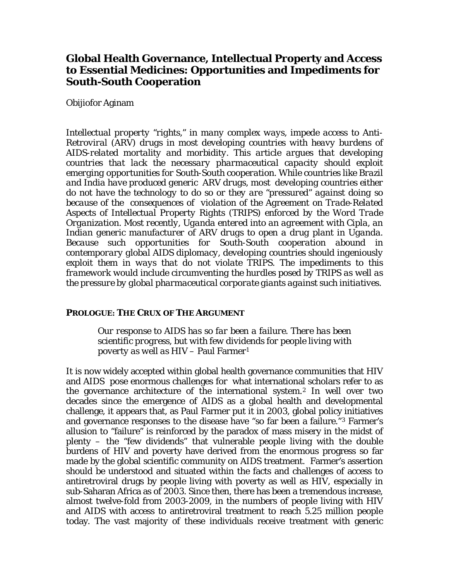# **Global Health Governance, Intellectual Property and Access to Essential Medicines: Opportunities and Impediments for South-South Cooperation**

## Obijiofor Aginam

*Intellectual property "rights," in many complex ways, impede access to Anti-Retroviral (ARV) drugs in most developing countries with heavy burdens of AIDS-related mortality and morbidity. This article argues that developing countries that lack the necessary pharmaceutical capacity should exploit emerging opportunities for South-South cooperation. While countries like Brazil and India have produced generic ARV drugs, most developing countries either do not have the technology to do so or they are "pressured" against doing so because of the consequences of violation of the Agreement on Trade-Related Aspects of Intellectual Property Rights (TRIPS) enforced by the Word Trade Organization. Most recently, Uganda entered into an agreement with Cipla, an Indian generic manufacturer of ARV drugs to open a drug plant in Uganda. Because such opportunities for South-South cooperation abound in contemporary global AIDS diplomacy, developing countries should ingeniously exploit them in ways that do not violate TRIPS. The impediments to this framework would include circumventing the hurdles posed by TRIPS as well as the pressure by global pharmaceutical corporate giants against such initiatives.*

## **PROLOGUE: THE CRUX OF THE ARGUMENT**

*Our response to AIDS has so far been a failure. There has been scientific progress, but with few dividends for people living with poverty as well as HIV* – Paul Farmer[1](#page-9-0)

It is now widely accepted within global health governance communities that HIV and AIDS pose enormous challenges for what international scholars refer to as the governance architecture of the international system.[2](#page-9-1) In well over two decades since the emergence of AIDS as a global health and developmental challenge, it appears that, as Paul Farmer put it in 2003, global policy initiatives and governance responses to the disease have "so far been a failure."[3](#page-9-2) Farmer's allusion to "failure" is reinforced by the paradox of mass misery in the midst of plenty – the "few dividends" that vulnerable people living with the double burdens of HIV and poverty have derived from the enormous progress so far made by the global scientific community on AIDS treatment. Farmer's assertion should be understood and situated within the facts and challenges of access to antiretroviral drugs by people living with poverty as well as HIV, especially in sub-Saharan Africa as of 2003. Since then, there has been a tremendous increase, almost twelve-fold from 2003-2009, in the numbers of people living with HIV and AIDS with access to antiretroviral treatment to reach 5.25 million people today. The vast majority of these individuals receive treatment with generic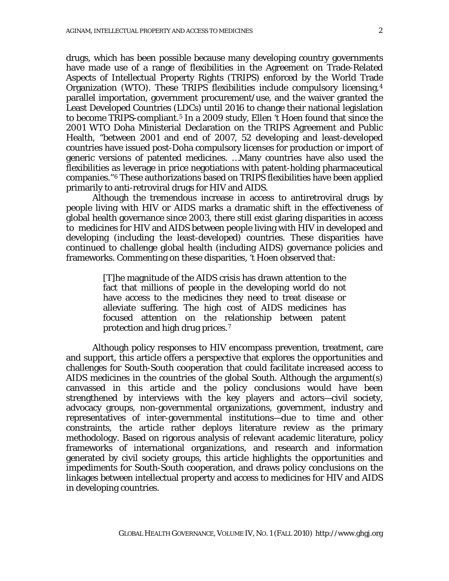drugs, which has been possible because many developing country governments have made use of a range of flexibilities in the Agreement on Trade-Related Aspects of Intellectual Property Rights (TRIPS) enforced by the World Trade Organization (WTO). These TRIPS flexibilities include compulsory licensing,[4](#page-9-3) parallel importation, government procurement/use, and the waiver granted the Least Developed Countries (LDCs) until 2016 to change their national legislation to become TRIPS-compliant.[5](#page-9-4) In a 2009 study, Ellen 't Hoen found that since the 2001 WTO Doha Ministerial Declaration on the TRIPS Agreement and Public Health, "between 2001 and end of 2007, 52 developing and least-developed countries have issued post-Doha compulsory licenses for production or import of generic versions of patented medicines. …Many countries have also used the flexibilities as leverage in price negotiations with patent-holding pharmaceutical companies."[6](#page-9-5) These authorizations based on TRIPS flexibilities have been applied primarily to anti-retroviral drugs for HIV and AIDS.

Although the tremendous increase in access to antiretroviral drugs by people living with HIV or AIDS marks a dramatic shift in the effectiveness of global health governance since 2003, there still exist glaring disparities in access to medicines for HIV and AIDS between people living with HIV in developed and developing (including the least-developed) countries. These disparities have continued to challenge global health (including AIDS) governance policies and frameworks. Commenting on these disparities, 't Hoen observed that:

> [T]he magnitude of the AIDS crisis has drawn attention to the fact that millions of people in the developing world do not have access to the medicines they need to treat disease or alleviate suffering. The high cost of AIDS medicines has focused attention on the relationship between patent protection and high drug prices.[7](#page-9-6)

Although policy responses to HIV encompass prevention, treatment, care and support, this article offers a perspective that explores the opportunities and challenges for South-South cooperation that could facilitate increased access to AIDS medicines in the countries of the global South. Although the argument(s) canvassed in this article and the policy conclusions would have been strengthened by interviews with the key players and actors—civil society, advocacy groups, non-governmental organizations, government, industry and representatives of inter-governmental institutions—due to time and other constraints, the article rather deploys literature review as the primary methodology. Based on rigorous analysis of relevant academic literature, policy frameworks of international organizations, and research and information generated by civil society groups, this article highlights the opportunities and impediments for South-South cooperation, and draws policy conclusions on the linkages between intellectual property and access to medicines for HIV and AIDS in developing countries.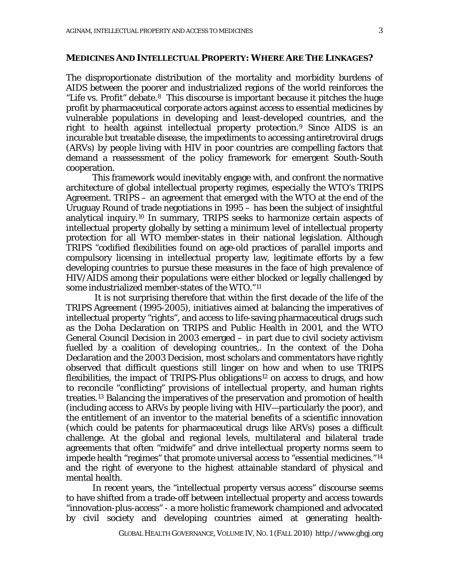#### **MEDICINES AND INTELLECTUAL PROPERTY: WHERE ARE THE LINKAGES?**

The disproportionate distribution of the mortality and morbidity burdens of AIDS between the poorer and industrialized regions of the world reinforces the "Life vs. Profit" debate.<sup>8</sup> This discourse is important because it pitches the huge profit by pharmaceutical corporate actors against access to essential medicines by vulnerable populations in developing and least-developed countries, and the right to health against intellectual property protection.[9](#page-9-8) Since AIDS is an incurable but treatable disease, the impediments to accessing antiretroviral drugs (ARVs) by people living with HIV in poor countries are compelling factors that demand a reassessment of the policy framework for emergent South-South cooperation.

This framework would inevitably engage with, and confront the normative architecture of global intellectual property regimes, especially the WTO's TRIPS Agreement. TRIPS – an agreement that emerged with the WTO at the end of the Uruguay Round of trade negotiations in 1995 – has been the subject of insightful analytical inquiry. [10](#page-9-9) In summary, TRIPS seeks to harmonize certain aspects of intellectual property globally by setting a minimum level of intellectual property protection for all WTO member-states in their national legislation. Although TRIPS "codified flexibilities found on age-old practices of parallel imports and compulsory licensing in intellectual property law, legitimate efforts by a few developing countries to pursue these measures in the face of high prevalence of HIV/AIDS among their populations were either blocked or legally challenged by some industrialized member-states of the WTO."[11](#page-9-10)

It is not surprising therefore that within the first decade of the life of the TRIPS Agreement (1995-2005), initiatives aimed at balancing the imperatives of intellectual property "rights", and access to life-saving pharmaceutical drugs such as the Doha Declaration on TRIPS and Public Health in 2001, and the WTO General Council Decision in 2003 emerged – in part due to civil society activism fuelled by a coalition of developing countries,. In the context of the Doha Declaration and the 2003 Decision, most scholars and commentators have rightly observed that difficult questions still linger on how and when to use TRIPS flexibilities, the impact of TRIPS-Plus obligations<sup>[12](#page-9-11)</sup> on access to drugs, and how to reconcile "conflicting" provisions of intellectual property, and human rights treaties.[13](#page-9-12) Balancing the imperatives of the preservation and promotion of health (including access to ARVs by people living with HIV—particularly the poor), and the entitlement of an inventor to the material benefits of a scientific innovation (which could be patents for pharmaceutical drugs like ARVs) poses a difficult challenge. At the global and regional levels, multilateral and bilateral trade agreements that often "midwife" and drive intellectual property norms seem to impede health "regimes" that promote universal access to "essential medicines."[14](#page-10-0) and the right of everyone to the highest attainable standard of physical and mental health.

In recent years, the "intellectual property versus access" discourse seems to have shifted from a trade-off between intellectual property and access towards "innovation-plus-access" - a more holistic framework championed and advocated by civil society and developing countries aimed at generating health-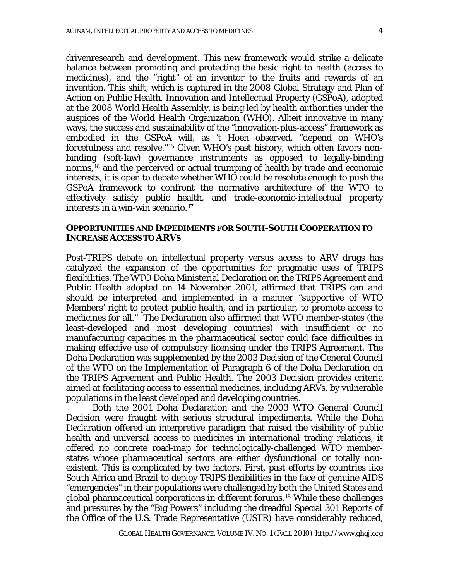drivenresearch and development. This new framework would strike a delicate balance between promoting and protecting the basic right to health (access to medicines), and the "right" of an inventor to the fruits and rewards of an invention. This shift, which is captured in the 2008 Global Strategy and Plan of Action on Public Health, Innovation and Intellectual Property (GSPoA), adopted at the 2008 World Health Assembly, is being led by health authorities under the auspices of the World Health Organization (WHO). Albeit innovative in many ways, the success and sustainability of the "innovation-plus-access" framework as embodied in the GSPoA will, as 't Hoen observed, "depend on WHO's forcefulness and resolve."[15](#page-10-1) Given WHO's past history, which often favors nonbinding (soft-law) governance instruments as opposed to legally-binding norms,[16](#page-10-2) and the perceived or actual trumping of health by trade and economic interests, it is open to debate whether WHO could be resolute enough to push the GSPoA framework to confront the normative architecture of the WTO to effectively satisfy public health, and trade-economic-intellectual property interests in a win-win scenario.[17](#page-10-3)

### **OPPORTUNITIES AND IMPEDIMENTS FOR SOUTH-SOUTH COOPERATION TO INCREASE ACCESS TO ARVS**

Post-TRIPS debate on intellectual property versus access to ARV drugs has catalyzed the expansion of the opportunities for pragmatic uses of TRIPS flexibilities. The WTO Doha Ministerial Declaration on the TRIPS Agreement and Public Health adopted on 14 November 2001, affirmed that TRIPS can and should be interpreted and implemented in a manner "supportive of WTO Members' right to protect public health, and in particular, to promote access to medicines for all." The Declaration also affirmed that WTO member-states (the least-developed and most developing countries) with insufficient or no manufacturing capacities in the pharmaceutical sector could face difficulties in making effective use of compulsory licensing under the TRIPS Agreement. The Doha Declaration was supplemented by the 2003 Decision of the General Council of the WTO on the Implementation of Paragraph 6 of the Doha Declaration on the TRIPS Agreement and Public Health. The 2003 Decision provides criteria aimed at facilitating access to essential medicines, including ARVs, by vulnerable populations in the least developed and developing countries.

Both the 2001 Doha Declaration and the 2003 WTO General Council Decision were fraught with serious structural impediments. While the Doha Declaration offered an interpretive paradigm that raised the visibility of public health and universal access to medicines in international trading relations, it offered no concrete road-map for technologically-challenged WTO memberstates whose pharmaceutical sectors are either dysfunctional or totally nonexistent. This is complicated by two factors. First, past efforts by countries like South Africa and Brazil to deploy TRIPS flexibilities in the face of genuine AIDS "emergencies" in their populations were challenged by both the United States and global pharmaceutical corporations in different forums.[18](#page-10-4) While these challenges and pressures by the "Big Powers" including the dreadful Special 301 Reports of the Office of the U.S. Trade Representative (USTR) have considerably reduced,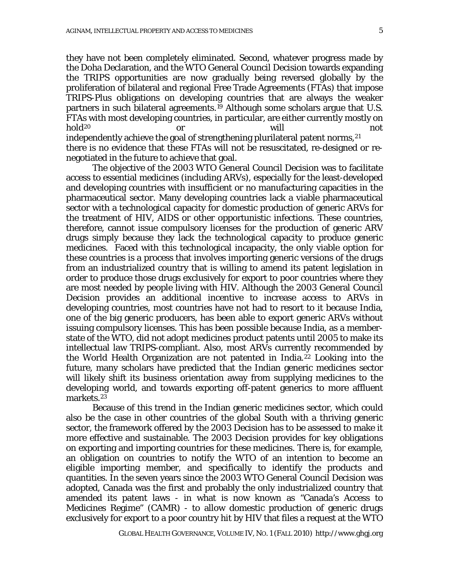they have not been completely eliminated. Second, whatever progress made by the Doha Declaration, and the WTO General Council Decision towards expanding the TRIPS opportunities are now gradually being reversed globally by the proliferation of bilateral and regional Free Trade Agreements (FTAs) that impose TRIPS-Plus obligations on developing countries that are always the weaker partners in such bilateral agreements.[19](#page-10-5) Although some scholars argue that U.S. FTAs with most developing countries, in particular, are either currently mostly on hold<sup>[20](#page-10-6)</sup> or will will not independently achieve the goal of strengthening plurilateral patent norms, <sup>[21](#page-10-7)</sup> there is no evidence that these FTAs will not be resuscitated, re-designed or renegotiated in the future to achieve that goal.

The objective of the 2003 WTO General Council Decision was to facilitate access to essential medicines (including ARVs), especially for the least-developed and developing countries with insufficient or no manufacturing capacities in the pharmaceutical sector. Many developing countries lack a viable pharmaceutical sector with a technological capacity for domestic production of generic ARVs for the treatment of HIV, AIDS or other opportunistic infections. These countries, therefore, cannot issue compulsory licenses for the production of generic ARV drugs simply because they lack the technological capacity to produce generic medicines. Faced with this technological incapacity, the only viable option for these countries is a process that involves importing generic versions of the drugs from an industrialized country that is willing to amend its patent legislation in order to produce those drugs exclusively for export to poor countries where they are most needed by people living with HIV. Although the 2003 General Council Decision provides an additional incentive to increase access to ARVs in developing countries, most countries have not had to resort to it because India, one of the big generic producers, has been able to export generic ARVs without issuing compulsory licenses. This has been possible because India, as a memberstate of the WTO, did not adopt medicines product patents until 2005 to make its intellectual law TRIPS-compliant. Also, most ARVs currently recommended by the World Health Organization are not patented in India. [22](#page-10-8) Looking into the future, many scholars have predicted that the Indian generic medicines sector will likely shift its business orientation away from supplying medicines to the developing world, and towards exporting off-patent generics to more affluent markets.[23](#page-10-9)

Because of this trend in the Indian generic medicines sector, which could also be the case in other countries of the global South with a thriving generic sector, the framework offered by the 2003 Decision has to be assessed to make it more effective and sustainable. The 2003 Decision provides for key obligations on exporting and importing countries for these medicines. There is, for example, an obligation on countries to notify the WTO of an intention to become an eligible importing member, and specifically to identify the products and quantities. In the seven years since the 2003 WTO General Council Decision was adopted, Canada was the first and probably the only industrialized country that amended its patent laws - in what is now known as "Canada's Access to Medicines Regime" (CAMR) - to allow domestic production of generic drugs exclusively for export to a poor country hit by HIV that files a request at the WTO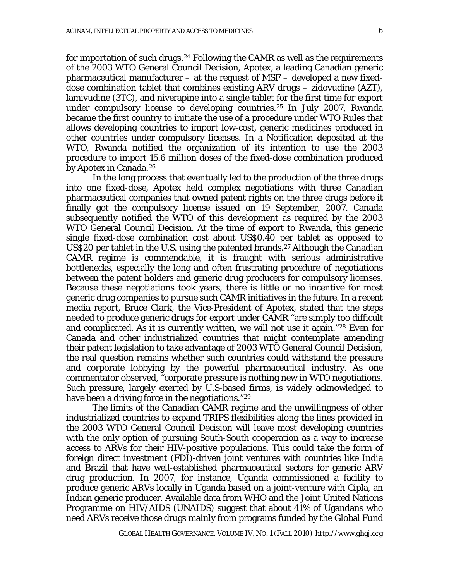for importation of such drugs.<sup>[24](#page-10-10)</sup> Following the CAMR as well as the requirements of the 2003 WTO General Council Decision, Apotex, a leading Canadian generic pharmaceutical manufacturer – at the request of MSF – developed a new fixeddose combination tablet that combines existing ARV drugs – zidovudine (AZT), lamivudine (3TC), and niverapine into a single tablet for the first time for export under compulsory license to developing countries.[25](#page-10-11) In July 2007, Rwanda became the first country to initiate the use of a procedure under WTO Rules that allows developing countries to import low-cost, generic medicines produced in other countries under compulsory licenses. In a Notification deposited at the WTO, Rwanda notified the organization of its intention to use the 2003 procedure to import 15.6 million doses of the fixed-dose combination produced by Apotex in Canada.[26](#page-10-12)

 In the long process that eventually led to the production of the three drugs into one fixed-dose, Apotex held complex negotiations with three Canadian pharmaceutical companies that owned patent rights on the three drugs before it finally got the compulsory license issued on 19 September, 2007. Canada subsequently notified the WTO of this development as required by the 2003 WTO General Council Decision. At the time of export to Rwanda, this generic single fixed-dose combination cost about US\$0.40 per tablet as opposed to US\$20 per tablet in the U.S. using the patented brands.[27](#page-10-13) Although the Canadian CAMR regime is commendable, it is fraught with serious administrative bottlenecks, especially the long and often frustrating procedure of negotiations between the patent holders and generic drug producers for compulsory licenses. Because these negotiations took years, there is little or no incentive for most generic drug companies to pursue such CAMR initiatives in the future. In a recent media report, Bruce Clark, the Vice-President of Apotex, stated that the steps needed to produce generic drugs for export under CAMR "are simply too difficult and complicated. As it is currently written, we will not use it again."[28](#page-10-14) Even for Canada and other industrialized countries that might contemplate amending their patent legislation to take advantage of 2003 WTO General Council Decision, the real question remains whether such countries could withstand the pressure and corporate lobbying by the powerful pharmaceutical industry. As one commentator observed, "corporate pressure is nothing new in WTO negotiations. Such pressure, largely exerted by U.S-based firms, is widely acknowledged to have been a driving force in the negotiations."<sup>[29](#page-10-15)</sup>

 The limits of the Canadian CAMR regime and the unwillingness of other industrialized countries to expand TRIPS flexibilities along the lines provided in the 2003 WTO General Council Decision will leave most developing countries with the only option of pursuing South-South cooperation as a way to increase access to ARVs for their HIV-positive populations. This could take the form of foreign direct investment (FDI)-driven joint ventures with countries like India and Brazil that have well-established pharmaceutical sectors for generic ARV drug production. In 2007, for instance, Uganda commissioned a facility to produce generic ARVs locally in Uganda based on a joint-venture with Cipla, an Indian generic producer. Available data from WHO and the Joint United Nations Programme on HIV/AIDS (UNAIDS) suggest that about 41% of Ugandans who need ARVs receive those drugs mainly from programs funded by the Global Fund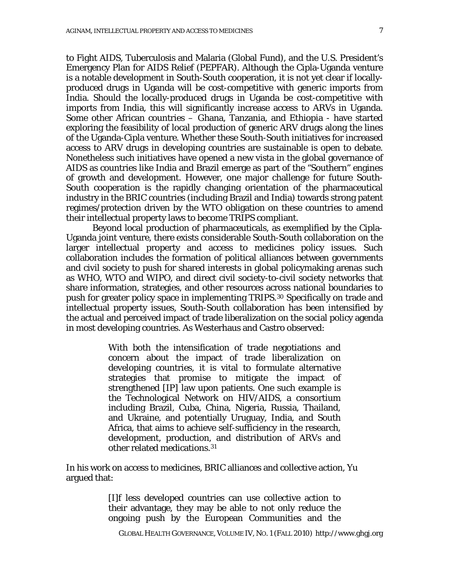to Fight AIDS, Tuberculosis and Malaria (Global Fund), and the U.S. President's Emergency Plan for AIDS Relief (PEPFAR). Although the Cipla-Uganda venture is a notable development in South-South cooperation, it is not yet clear if locallyproduced drugs in Uganda will be cost-competitive with generic imports from India. Should the locally-produced drugs in Uganda be cost-competitive with imports from India, this will significantly increase access to ARVs in Uganda. Some other African countries – Ghana, Tanzania, and Ethiopia - have started exploring the feasibility of local production of generic ARV drugs along the lines of the Uganda-Cipla venture. Whether these South-South initiatives for increased access to ARV drugs in developing countries are sustainable is open to debate. Nonetheless such initiatives have opened a new vista in the global governance of AIDS as countries like India and Brazil emerge as part of the "Southern" engines of growth and development. However, one major challenge for future South-South cooperation is the rapidly changing orientation of the pharmaceutical industry in the BRIC countries (including Brazil and India) towards strong patent regimes/protection driven by the WTO obligation on these countries to amend their intellectual property laws to become TRIPS compliant.

Beyond local production of pharmaceuticals, as exemplified by the Cipla-Uganda joint venture, there exists considerable South-South collaboration on the larger intellectual property and access to medicines policy issues. Such collaboration includes the formation of political alliances between governments and civil society to push for shared interests in global policymaking arenas such as WHO, WTO and WIPO, and direct civil society-to-civil society networks that share information, strategies, and other resources across national boundaries to push for greater policy space in implementing TRIPS.[30](#page-10-16) Specifically on trade and intellectual property issues, South-South collaboration has been intensified by the actual and perceived impact of trade liberalization on the social policy agenda in most developing countries. As Westerhaus and Castro observed:

> With both the intensification of trade negotiations and concern about the impact of trade liberalization on developing countries, it is vital to formulate alternative strategies that promise to mitigate the impact of strengthened [IP] law upon patients. One such example is the Technological Network on HIV/AIDS, a consortium including Brazil, Cuba, China, Nigeria, Russia, Thailand, and Ukraine, and potentially Uruguay, India, and South Africa, that aims to achieve self-sufficiency in the research, development, production, and distribution of ARVs and other related medications.[31](#page-10-17)

In his work on access to medicines, BRIC alliances and collective action, Yu argued that:

> [I]f less developed countries can use collective action to their advantage, they may be able to not only reduce the ongoing push by the European Communities and the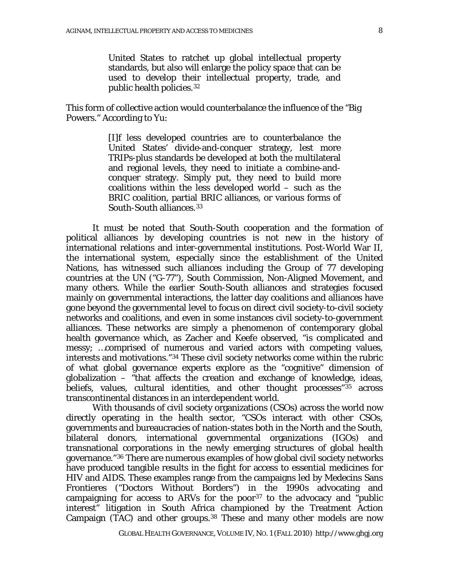United States to ratchet up global intellectual property standards, but also will enlarge the policy space that can be used to develop their intellectual property, trade, and public health policies.[32](#page-11-0)

This form of collective action would counterbalance the influence of the "Big Powers." According to Yu:

> [I]f less developed countries are to counterbalance the United States' divide-and-conquer strategy, lest more TRIPs-plus standards be developed at both the multilateral and regional levels, they need to initiate a combine-andconquer strategy. Simply put, they need to build more coalitions within the less developed world – such as the BRIC coalition, partial BRIC alliances, or various forms of South-South alliances.<sup>[33](#page-11-1)</sup>

It must be noted that South-South cooperation and the formation of political alliances by developing countries is not new in the history of international relations and inter-governmental institutions. Post-World War II, the international system, especially since the establishment of the United Nations, has witnessed such alliances including the Group of 77 developing countries at the UN ("G-77"), South Commission, Non-Aligned Movement, and many others. While the earlier South-South alliances and strategies focused mainly on governmental interactions, the latter day coalitions and alliances have gone beyond the governmental level to focus on direct civil society-to-civil society networks and coalitions, and even in some instances civil society-to-government alliances. These networks are simply a phenomenon of contemporary global health governance which, as Zacher and Keefe observed, "is complicated and messy; …comprised of numerous and varied actors with competing values, interests and motivations."[34](#page-11-2) These civil society networks come within the rubric of what global governance experts explore as the "cognitive" dimension of globalization – "that affects the creation and exchange of knowledge, ideas, beliefs, values, cultural identities, and other thought processes"<sup>[35](#page-11-3)</sup> across transcontinental distances in an interdependent world.

With thousands of civil society organizations (CSOs) across the world now directly operating in the health sector, "CSOs interact with other CSOs, governments and bureaucracies of nation-states both in the North and the South, bilateral donors, international governmental organizations (IGOs) and transnational corporations in the newly emerging structures of global health governance." [36](#page-11-4) There are numerous examples of how global civil society networks have produced tangible results in the fight for access to essential medicines for HIV and AIDS. These examples range from the campaigns led by Medecins Sans Frontieres ("Doctors Without Borders") in the 1990s advocating and campaigning for access to ARVs for the poor<sup>[37](#page-11-5)</sup> to the advocacy and "public interest" litigation in South Africa championed by the Treatment Action Campaign (TAC) and other groups.<sup>[38](#page-11-6)</sup> These and many other models are now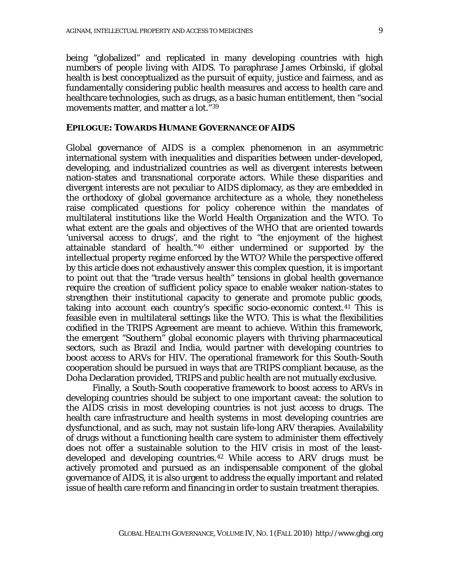being "globalized" and replicated in many developing countries with high numbers of people living with AIDS. To paraphrase James Orbinski, if global health is best conceptualized as the pursuit of equity, justice and fairness, and as fundamentally considering public health measures and access to health care and healthcare technologies, such as drugs, as a basic human entitlement, then "social movements matter, and matter a lot."[39](#page-11-7)

### **EPILOGUE: TOWARDS HUMANE GOVERNANCE OF AIDS**

Global governance of AIDS is a complex phenomenon in an asymmetric international system with inequalities and disparities between under-developed, developing, and industrialized countries as well as divergent interests between nation-states and transnational corporate actors. While these disparities and divergent interests are not peculiar to AIDS diplomacy, as they are embedded in the orthodoxy of global governance architecture as a whole, they nonetheless raise complicated questions for policy coherence within the mandates of multilateral institutions like the World Health Organization and the WTO. To what extent are the goals and objectives of the WHO that are oriented towards 'universal access to drugs', and the right to "the enjoyment of the highest attainable standard of health."[40](#page-11-8) either undermined or supported by the intellectual property regime enforced by the WTO? While the perspective offered by this article does not exhaustively answer this complex question, it is important to point out that the "trade versus health" tensions in global health governance require the creation of sufficient policy space to enable weaker nation-states to strengthen their institutional capacity to generate and promote public goods, taking into account each country's specific socio-economic context.<sup>[41](#page-11-9)</sup> This is feasible even in multilateral settings like the WTO. This is what the flexibilities codified in the TRIPS Agreement are meant to achieve. Within this framework, the emergent "Southern" global economic players with thriving pharmaceutical sectors, such as Brazil and India, would partner with developing countries to boost access to ARVs for HIV. The operational framework for this South-South cooperation should be pursued in ways that are TRIPS compliant because, as the Doha Declaration provided, TRIPS and public health are not mutually exclusive.

Finally, a South-South cooperative framework to boost access to ARVs in developing countries should be subject to one important caveat: the solution to the AIDS crisis in most developing countries is not just access to drugs. The health care infrastructure and health systems in most developing countries are dysfunctional, and as such, may not sustain life-long ARV therapies. Availability of drugs without a functioning health care system to administer them effectively does not offer a sustainable solution to the HIV crisis in most of the leastdeveloped and developing countries. [42](#page-11-10) While access to ARV drugs must be actively promoted and pursued as an indispensable component of the global governance of AIDS, it is also urgent to address the equally important and related issue of health care reform and financing in order to sustain treatment therapies.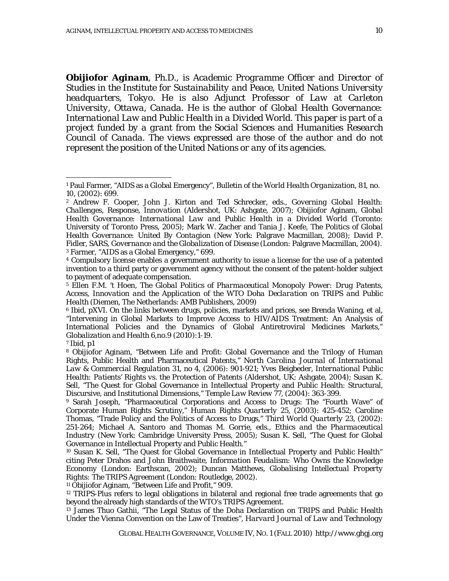*Obijiofor Aginam, Ph.D., is Academic Programme Officer and Director of Studies in the Institute for Sustainability and Peace, United Nations University headquarters, Tokyo. He is also Adjunct Professor of Law at Carleton University, Ottawa, Canada. He is the author of Global Health Governance: International Law and Public Health in a Divided World. This paper is part of a project funded by a grant from the Social Sciences and Humanities Research Council of Canada. The views expressed are those of the author and do not represent the position of the United Nations or any of its agencies.*

<span id="page-9-3"></span><span id="page-9-2"></span><sup>4</sup> Compulsory license enables a government authority to issue a license for the use of a patented invention to a third party or government agency without the consent of the patent-holder subject to payment of adequate compensation.

<span id="page-9-4"></span><sup>5</sup> Ellen F.M. 't Hoen, *The Global Politics of Pharmaceutical Monopoly Power: Drug Patents, Access, Innovation and the Application of the WTO Doha Declaration on TRIPS and Public Health* (Diemen, The Netherlands: AMB Publishers, 2009)

<span id="page-9-5"></span><sup>6</sup> Ibid, pXVI. On the links between drugs, policies, markets and prices, *see* Brenda Waning, et al, "Intervening in Global Markets to Improve Access to HIV/AIDS Treatment: An Analysis of International Policies and the Dynamics of Global Antiretroviral Medicines Markets," *Globalization and Health* 6,no.9 (2010):1-19.

<span id="page-9-6"></span><sup>7</sup> Ibid, p1

 $\overline{a}$ 

<span id="page-9-8"></span><sup>9</sup> Sarah Joseph, "Pharmaceutical Corporations and Access to Drugs: The "Fourth Wave" of Corporate Human Rights Scrutiny," *Human Rights Quarterly* 25, (2003): 425-452; Caroline Thomas, "Trade Policy and the Politics of Access to Drugs," *Third World Quarterly* 23, (2002): 251-264; Michael A. Santoro and Thomas M. Gorrie, eds., *Ethics and the Pharmaceutical Industry* (New York: Cambridge University Press, 2005); Susan K. Sell, "The Quest for Global Governance in Intellectual Property and Public Health."

<span id="page-9-9"></span><sup>10</sup> Susan K. Sell, "The Quest for Global Governance in Intellectual Property and Public Health" citing Peter Drahos and John Braithwaite, *Information Feudalism: Who Owns the Knowledge Economy* (London: Earthscan, 2002); Duncan Matthews, *Globalising Intellectual Property Rights: The TRIPS Agreement* (London: Routledge, 2002).

<span id="page-9-10"></span><sup>11</sup> Obijiofor Aginam, "Between Life and Profit," 909.

<span id="page-9-11"></span><sup>12</sup> TRIPS-Plus refers to legal obligations in bilateral and regional free trade agreements that go beyond the already high standards of the WTO's TRIPS Agreement.

<span id="page-9-12"></span><sup>13</sup> James Thuo Gathii, "The Legal Status of the Doha Declaration on TRIPS and Public Health Under the Vienna Convention on the Law of Treaties", *Harvard Journal of Law and Technology*

<span id="page-9-0"></span><sup>1</sup> Paul Farmer, "AIDS as a Global Emergency", *Bulletin of the World Health Organization*, 81, no. 10, (2002): 699.

<span id="page-9-1"></span><sup>2</sup> Andrew F. Cooper, John J. Kirton and Ted Schrecker, eds., *Governing Global Health: Challenges, Response, Innovation* (Aldershot, UK: Ashgate, 2007); Obijiofor Aginam, *Global Health Governance: International Law and Public Health in a Divided World* (Toronto: University of Toronto Press, 2005); Mark W. Zacher and Tania J. Keefe, *The Politics of Global Health Governance: United By Contagion* (New York: Palgrave Macmillan, 2008); David P. Fidler, *SARS, Governance and the Globalization of Disease* (London: Palgrave Macmillan, 2004). <sup>3</sup> Farmer, "AIDS as a Global Emergency," 699.

<span id="page-9-7"></span><sup>8</sup> Obijiofor Aginam, "Between Life and Profit: Global Governance and the Trilogy of Human Rights, Public Health and Pharmaceutical Patents," *North Carolina Journal of International Law & Commercial Regulation* 31, no 4, (2006): 901-921; Yves Beigbeder, *International Public Health: Patients' Rights vs. the Protection of Patents* (Aldershot, UK: Ashgate, 2004); Susan K. Sell, "The Quest for Global Governance in Intellectual Property and Public Health: Structural, Discursive, and Institutional Dimensions," *Temple Law Review* 77, (2004): 363-399.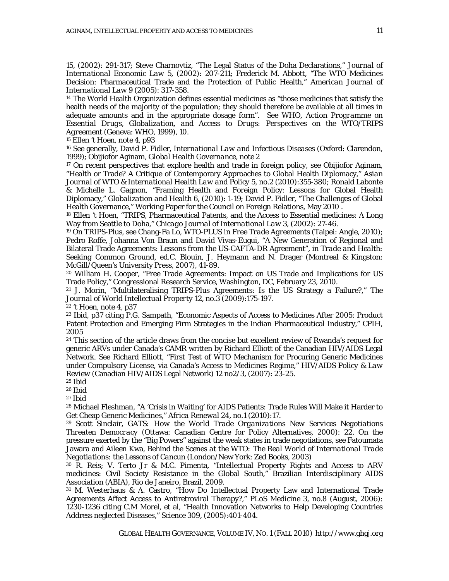15, (2002): 291-317; Steve Charnovtiz, "The Legal Status of the Doha Declarations," *Journal of International Economic Law* 5, (2002): 207-211; Frederick M. Abbott, "The WTO Medicines Decision: Pharmaceutical Trade and the Protection of Public Health," *American Journal of International Law* 9 (2005): 317-358.

<span id="page-10-0"></span><sup>14</sup> The World Health Organization defines essential medicines as "those medicines that satisfy the health needs of the majority of the population; they should therefore be available at all times in adequate amounts and in the appropriate dosage form". See WHO, *Action Programme on Essential Drugs, Globalization, and Access to Drugs: Perspectives on the WTO/TRIPS Agreement* (Geneva: WHO, 1999), 10.

<span id="page-10-1"></span><sup>15</sup> Ellen 't Hoen, note 4, p93

 $\overline{a}$ 

<span id="page-10-2"></span><sup>16</sup> See generally, David P. Fidler, *International Law and Infectious Diseases* (Oxford: Clarendon, 1999); Obijiofor Aginam, *Global Health Governance*, note 2

<span id="page-10-3"></span><sup>17</sup> On recent perspectives that explore health and trade in foreign policy, see Obijiofor Aginam, "Health or Trade? A Critique of Contemporary Approaches to Global Health Diplomacy," *Asian Journal of WTO & International Health Law and Policy* 5, no.2 (2010):355-380; Ronald Labonte & Michelle L. Gagnon, "Framing Health and Foreign Policy: Lessons for Global Health Diplomacy," *Globalization and Health* 6, (2010): 1-19; David P. Fidler, "The Challenges of Global Health Governance," Working Paper for the Council on Foreign Relations, May 2010 .

<span id="page-10-4"></span><sup>18</sup> Ellen 't Hoen, "TRIPS, Pharmaceutical Patents, and the Access to Essential medicines: A Long Way from Seattle to Doha," *Chicago Journal of International Law* 3, (2002): 27-46.

<span id="page-10-5"></span><sup>19</sup> On TRIPS-Plus, see Chang-Fa Lo, *WTO-PLUS in Free Trade Agreements* (Taipei: Angle, 2010); Pedro Roffe, Johanna Von Braun and David Vivas-Eugui, "A New Generation of Regional and Bilateral Trade Agreements: Lessons from the US-CAFTA-DR Agreement", in *Trade and Health: Seeking Common Ground*, ed.C. Blouin, J. Heymann and N. Drager (Montreal & Kingston: McGill/Queen's University Press, 2007), 41-89.

<span id="page-10-6"></span><sup>20</sup> William H. Cooper, "Free Trade Agreements: Impact on US Trade and Implications for US Trade Policy," Congressional Research Service, Washington, DC, February 23, 2010.

<span id="page-10-7"></span><sup>21</sup> J. Morin, "Multilateralising TRIPS-Plus Agreements: Is the US Strategy a Failure?," *The Journal of World Intellectual Property* 12, no.3 (2009):175-197.

<span id="page-10-9"></span><span id="page-10-8"></span><sup>22</sup> 't Hoen, note 4, p37

<sup>23</sup> Ibid, p37 citing P.G. Sampath, "Economic Aspects of Access to Medicines After 2005: Product Patent Protection and Emerging Firm Strategies in the Indian Pharmaceutical Industry," CPIH, 2005

<span id="page-10-10"></span><sup>24</sup> This section of the article draws from the concise but excellent review of Rwanda's request for generic ARVs under Canada's CAMR written by Richard Elliott of the Canadian HIV/AIDS Legal Network. See Richard Elliott, "First Test of WTO Mechanism for Procuring Generic Medicines under Compulsory License, via Canada's Access to Medicines Regime," *HIV/AIDS Policy & Law Review* (Canadian HIV/AIDS Legal Network) 12 no2/3, (2007): 23-25.

<span id="page-10-11"></span><sup>25</sup> Ibid

<span id="page-10-12"></span><sup>26</sup> Ibid

<span id="page-10-13"></span><sup>27</sup> Ibid

<span id="page-10-14"></span><sup>28</sup> Michael Fleshman, "A 'Crisis in Waiting' for AIDS Patients: Trade Rules Will Make it Harder to Get Cheap Generic Medicines," *Africa Renewal 24, no.1* (2010):17.

<span id="page-10-15"></span><sup>29</sup> Scott Sinclair, *GATS: How the World Trade Organizations New Services Negotiations Threaten Democracy* (Ottawa: Canadian Centre for Policy Alternatives, 2000): 22. On the pressure exerted by the "Big Powers" against the weak states in trade negotiations, *see* Fatoumata Jawara and Aileen Kwa, *Behind the Scenes at the WTO: The Real World of International Trade Negotiations: the Lessons of Cancun* (London/New York: Zed Books, 2003)

<span id="page-10-16"></span><sup>30</sup> R. Reis; V. Terto Jr & M.C. Pimenta, "Intellectual Property Rights and Access to ARV medicines: Civil Society Resistance in the Global South," Brazilian Interdisciplinary AIDS Association (ABIA), Rio de Janeiro, Brazil, 2009.

<span id="page-10-17"></span><sup>31</sup> M. Westerhaus & A. Castro, "How Do Intellectual Property Law and International Trade Agreements Affect Access to Antiretroviral Therapy?," *PLoS Medicine* 3, no.8 (August, 2006): 1230-1236 citing C.M Morel, et al, "Health Innovation Networks to Help Developing Countries Address neglected Diseases," *Science* 309, (2005):401-404.